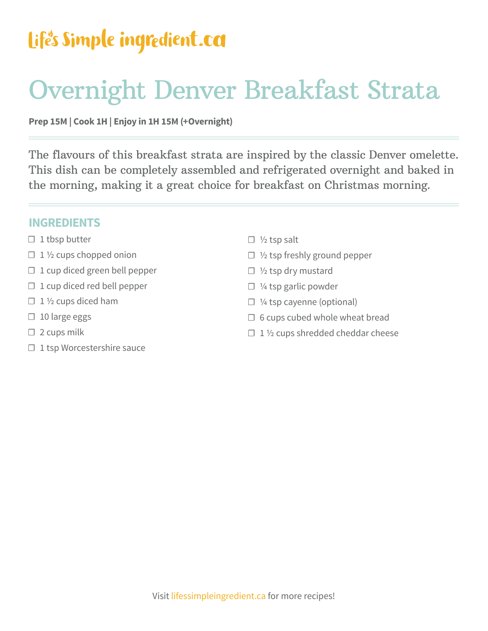## Life's Simple ingredient.ca

## Overnight Denver Breakfast Strata

### **Prep 15M | Cook 1H | Enjoy in 1H 15M (+Overnight)**

The flavours of this breakfast strata are inspired by the classic Denver omelette. This dish can be completely assembled and refrigerated overnight and baked in the morning, making it a great choice for breakfast on Christmas morning.

#### **INGREDIENTS**

- $\Box$  1 tbsp butter
- $\Box$  1 1/2 cups chopped onion
- $\Box$  1 cup diced green bell pepper
- ☐ 1 cup diced red bell pepper
- $\Box$  1 1/2 cups diced ham
- ☐ 10 large eggs
- $\Box$  2 cups milk
- $\Box$  1 tsp Worcestershire sauce
- $\Box$  1/2 tsp salt
- ☐ ½ tsp freshly ground pepper
- ☐ ½ tsp dry mustard
- ☐ ¼ tsp garlic powder
- ☐ ¼ tsp cayenne (optional)
- $\Box$  6 cups cubed whole wheat bread
- $\Box$  1 1/2 cups shredded cheddar cheese